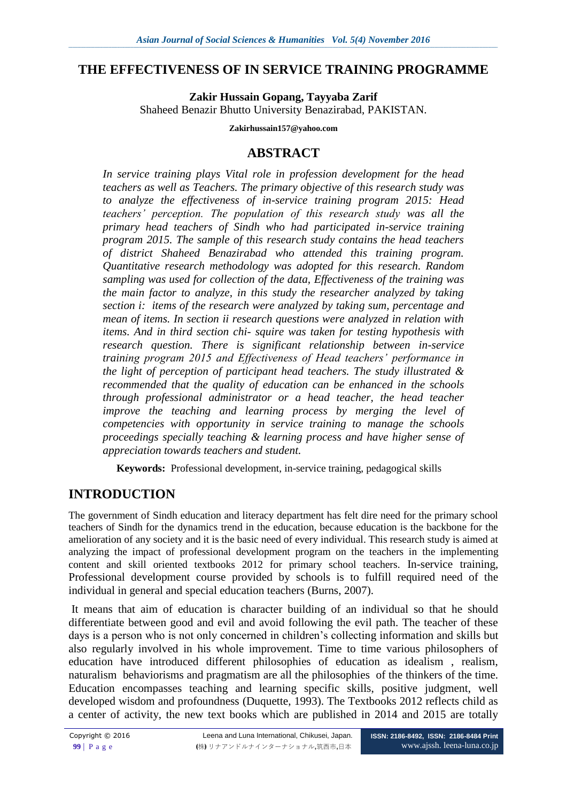## **THE EFFECTIVENESS OF IN SERVICE TRAINING PROGRAMME**

**Zakir Hussain Gopang, Tayyaba Zarif** Shaheed Benazir Bhutto University Benazirabad, PAKISTAN.

#### **Zakirhussain157@yahoo.com**

# **ABSTRACT**

*In service training plays Vital role in profession development for the head teachers as well as Teachers. The primary objective of this research study was to analyze the effectiveness of in-service training program 2015: Head teachers' perception. The population of this research study was all the primary head teachers of Sindh who had participated in-service training program 2015. The sample of this research study contains the head teachers of district Shaheed Benazirabad who attended this training program. Quantitative research methodology was adopted for this research. Random sampling was used for collection of the data, Effectiveness of the training was the main factor to analyze, in this study the researcher analyzed by taking section i: items of the research were analyzed by taking sum, percentage and mean of items. In section ii research questions were analyzed in relation with items. And in third section chi- squire was taken for testing hypothesis with research question. There is significant relationship between in-service training program 2015 and Effectiveness of Head teachers' performance in the light of perception of participant head teachers. The study illustrated & recommended that the quality of education can be enhanced in the schools through professional administrator or a head teacher, the head teacher improve the teaching and learning process by merging the level of competencies with opportunity in service training to manage the schools proceedings specially teaching & learning process and have higher sense of appreciation towards teachers and student.*

**Keywords:** Professional development, in-service training, pedagogical skills

# **INTRODUCTION**

The government of Sindh education and literacy department has felt dire need for the primary school teachers of Sindh for the dynamics trend in the education, because education is the backbone for the amelioration of any society and it is the basic need of every individual. This research study is aimed at analyzing the impact of professional development program on the teachers in the implementing content and skill oriented textbooks 2012 for primary school teachers. In-service training, Professional development course provided by schools is to fulfill required need of the individual in general and special education teachers (Burns, 2007).

It means that aim of education is character building of an individual so that he should differentiate between good and evil and avoid following the evil path. The teacher of these days is a person who is not only concerned in children's collecting information and skills but also regularly involved in his whole improvement. Time to time various philosophers of education have introduced different philosophies of education as idealism , realism, naturalism behaviorisms and pragmatism are all the philosophies of the thinkers of the time. Education encompasses teaching and learning specific skills, positive judgment, well developed wisdom and profoundness (Duquette, 1993). The Textbooks 2012 reflects child as a center of activity, the new text books which are published in 2014 and 2015 are totally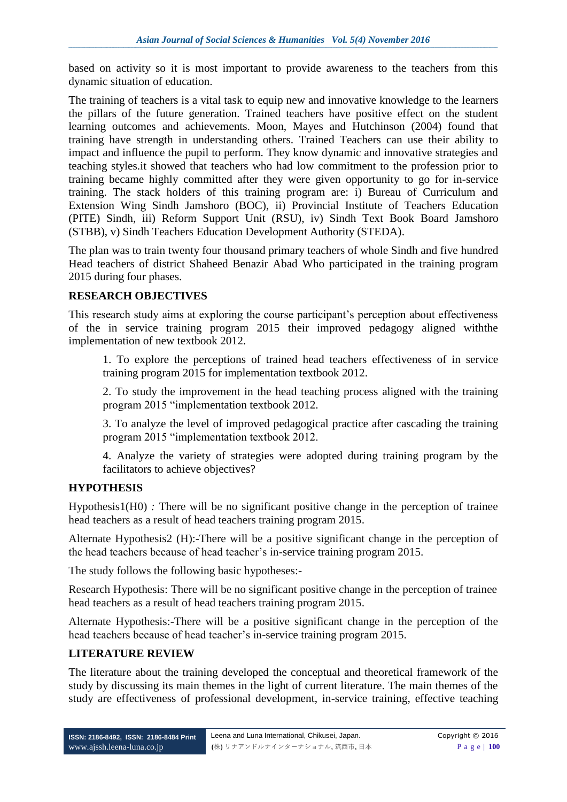based on activity so it is most important to provide awareness to the teachers from this dynamic situation of education.

The training of teachers is a vital task to equip new and innovative knowledge to the learners the pillars of the future generation. Trained teachers have positive effect on the student learning outcomes and achievements. Moon, Mayes and Hutchinson (2004) found that training have strength in understanding others. Trained Teachers can use their ability to impact and influence the pupil to perform. They know dynamic and innovative strategies and teaching styles.it showed that teachers who had low commitment to the profession prior to training became highly committed after they were given opportunity to go for in-service training. The stack holders of this training program are: i) Bureau of Curriculum and Extension Wing Sindh Jamshoro (BOC), ii) Provincial Institute of Teachers Education (PITE) Sindh, iii) Reform Support Unit (RSU), iv) Sindh Text Book Board Jamshoro (STBB), v) Sindh Teachers Education Development Authority (STEDA).

The plan was to train twenty four thousand primary teachers of whole Sindh and five hundred Head teachers of district Shaheed Benazir Abad Who participated in the training program 2015 during four phases.

### **RESEARCH OBJECTIVES**

This research study aims at exploring the course participant's perception about effectiveness of the in service training program 2015 their improved pedagogy aligned withthe implementation of new textbook 2012.

1. To explore the perceptions of trained head teachers effectiveness of in service training program 2015 for implementation textbook 2012.

2. To study the improvement in the head teaching process aligned with the training program 2015 "implementation textbook 2012.

3. To analyze the level of improved pedagogical practice after cascading the training program 2015 "implementation textbook 2012.

4. Analyze the variety of strategies were adopted during training program by the facilitators to achieve objectives?

## **HYPOTHESIS**

Hypothesis1(H0) *:* There will be no significant positive change in the perception of trainee head teachers as a result of head teachers training program 2015.

Alternate Hypothesis2 (H):-There will be a positive significant change in the perception of the head teachers because of head teacher's in-service training program 2015.

The study follows the following basic hypotheses:-

Research Hypothesis: There will be no significant positive change in the perception of trainee head teachers as a result of head teachers training program 2015.

Alternate Hypothesis:-There will be a positive significant change in the perception of the head teachers because of head teacher's in-service training program 2015.

## **LITERATURE REVIEW**

The literature about the training developed the conceptual and theoretical framework of the study by discussing its main themes in the light of current literature. The main themes of the study are effectiveness of professional development, in-service training, effective teaching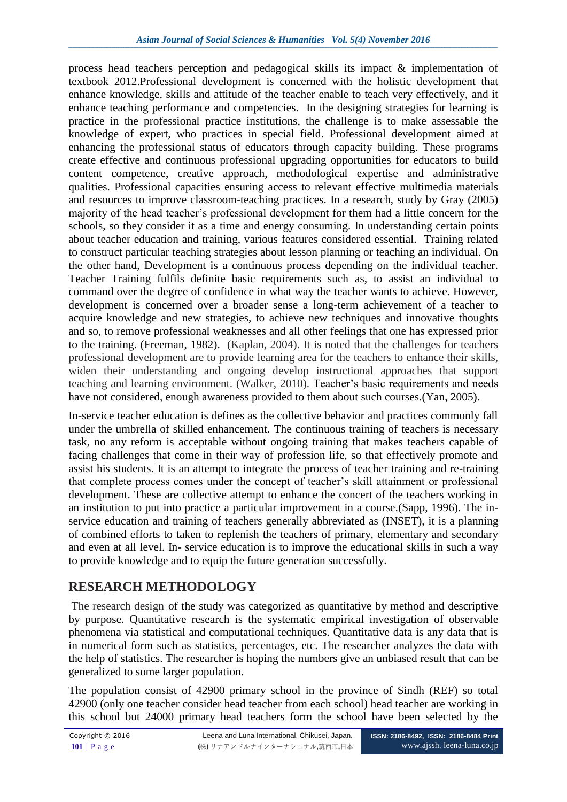process head teachers perception and pedagogical skills its impact & implementation of textbook 2012.Professional development is concerned with the holistic development that enhance knowledge, skills and attitude of the teacher enable to teach very effectively, and it enhance teaching performance and competencies. In the designing strategies for learning is practice in the professional practice institutions, the challenge is to make assessable the knowledge of expert, who practices in special field. Professional development aimed at enhancing the professional status of educators through capacity building. These programs create effective and continuous professional upgrading opportunities for educators to build content competence, creative approach, methodological expertise and administrative qualities. Professional capacities ensuring access to relevant effective multimedia materials and resources to improve classroom-teaching practices. In a research, study by Gray (2005) majority of the head teacher's professional development for them had a little concern for the schools, so they consider it as a time and energy consuming. In understanding certain points about teacher education and training, various features considered essential. Training related to construct particular teaching strategies about lesson planning or teaching an individual. On the other hand, Development is a continuous process depending on the individual teacher. Teacher Training fulfils definite basic requirements such as, to assist an individual to command over the degree of confidence in what way the teacher wants to achieve. However, development is concerned over a broader sense a long-term achievement of a teacher to acquire knowledge and new strategies, to achieve new techniques and innovative thoughts and so, to remove professional weaknesses and all other feelings that one has expressed prior to the training. (Freeman, 1982). (Kaplan, 2004). It is noted that the challenges for teachers professional development are to provide learning area for the teachers to enhance their skills, widen their understanding and ongoing develop instructional approaches that support teaching and learning environment. (Walker, 2010). Teacher's basic requirements and needs have not considered, enough awareness provided to them about such courses.(Yan, 2005).

In-service teacher education is defines as the collective behavior and practices commonly fall under the umbrella of skilled enhancement. The continuous training of teachers is necessary task, no any reform is acceptable without ongoing training that makes teachers capable of facing challenges that come in their way of profession life, so that effectively promote and assist his students. It is an attempt to integrate the process of teacher training and re-training that complete process comes under the concept of teacher's skill attainment or professional development. These are collective attempt to enhance the concert of the teachers working in an institution to put into practice a particular improvement in a course.(Sapp, 1996). The inservice education and training of teachers generally abbreviated as (INSET), it is a planning of combined efforts to taken to replenish the teachers of primary, elementary and secondary and even at all level. In- service education is to improve the educational skills in such a way to provide knowledge and to equip the future generation successfully.

# **RESEARCH METHODOLOGY**

The research design of the study was categorized as quantitative by method and descriptive by purpose. Quantitative research is the systematic empirical investigation of observable phenomena via statistical and computational techniques. Quantitative data is any data that is in numerical form such as statistics, percentages, etc. The researcher analyzes the data with the help of statistics. The researcher is hoping the numbers give an unbiased result that can be generalized to some larger population.

The population consist of 42900 primary school in the province of Sindh (REF) so total 42900 (only one teacher consider head teacher from each school) head teacher are working in this school but 24000 primary head teachers form the school have been selected by the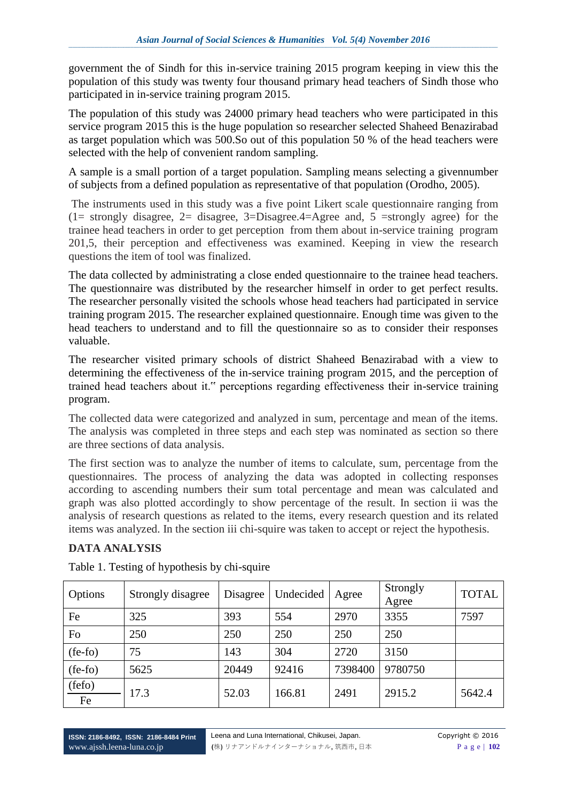government the of Sindh for this in-service training 2015 program keeping in view this the population of this study was twenty four thousand primary head teachers of Sindh those who participated in in-service training program 2015.

The population of this study was 24000 primary head teachers who were participated in this service program 2015 this is the huge population so researcher selected Shaheed Benazirabad as target population which was 500.So out of this population 50 % of the head teachers were selected with the help of convenient random sampling.

A sample is a small portion of a target population. Sampling means selecting a givennumber of subjects from a defined population as representative of that population (Orodho, 2005).

The instruments used in this study was a five point Likert scale questionnaire ranging from (1= strongly disagree, 2= disagree, 3=Disagree.4=Agree and, 5 =strongly agree) for the trainee head teachers in order to get perception from them about in-service training program 201,5, their perception and effectiveness was examined. Keeping in view the research questions the item of tool was finalized.

The data collected by administrating a close ended questionnaire to the trainee head teachers. The questionnaire was distributed by the researcher himself in order to get perfect results. The researcher personally visited the schools whose head teachers had participated in service training program 2015. The researcher explained questionnaire. Enough time was given to the head teachers to understand and to fill the questionnaire so as to consider their responses valuable.

The researcher visited primary schools of district Shaheed Benazirabad with a view to determining the effectiveness of the in-service training program 2015, and the perception of trained head teachers about it." perceptions regarding effectiveness their in-service training program.

The collected data were categorized and analyzed in sum, percentage and mean of the items. The analysis was completed in three steps and each step was nominated as section so there are three sections of data analysis.

The first section was to analyze the number of items to calculate, sum, percentage from the questionnaires. The process of analyzing the data was adopted in collecting responses according to ascending numbers their sum total percentage and mean was calculated and graph was also plotted accordingly to show percentage of the result. In section ii was the analysis of research questions as related to the items, every research question and its related items was analyzed. In the section iii chi-squire was taken to accept or reject the hypothesis.

# **DATA ANALYSIS**

| Options      | Strongly disagree | Disagree | Undecided | Agree   | Strongly<br>Agree | <b>TOTAL</b> |
|--------------|-------------------|----------|-----------|---------|-------------------|--------------|
| Fe           | 325               | 393      | 554       | 2970    | 3355              | 7597         |
| Fo           | 250               | 250      | 250       | 250     | 250               |              |
| $(fe-fo)$    | 75                | 143      | 304       | 2720    | 3150              |              |
| $(fe-fo)$    | 5625              | 20449    | 92416     | 7398400 | 9780750           |              |
| (fefo)<br>Fe | 17.3              | 52.03    | 166.81    | 2491    | 2915.2            | 5642.4       |

Table 1. Testing of hypothesis by chi-squire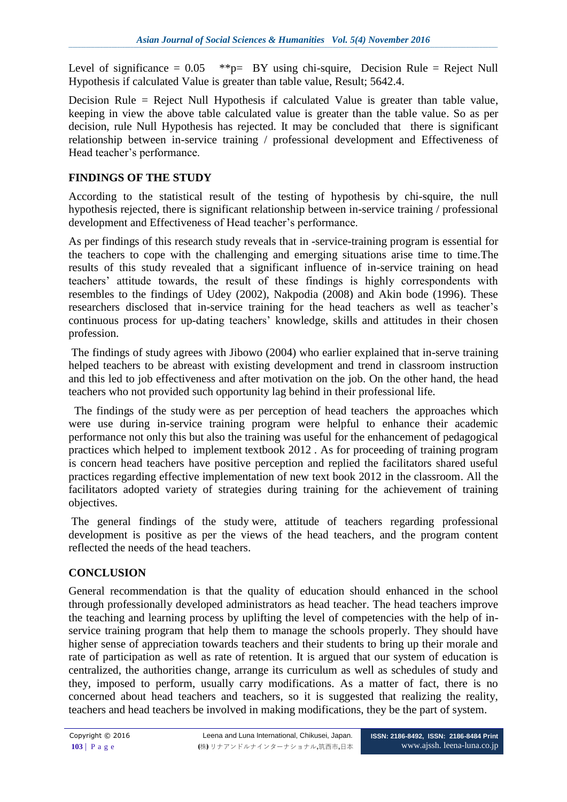Level of significance  $= 0.05$  \*\*p= BY using chi-squire, Decision Rule = Reject Null Hypothesis if calculated Value is greater than table value, Result; 5642.4.

Decision Rule = Reject Null Hypothesis if calculated Value is greater than table value, keeping in view the above table calculated value is greater than the table value. So as per decision, rule Null Hypothesis has rejected. It may be concluded that there is significant relationship between in-service training / professional development and Effectiveness of Head teacher's performance.

# **FINDINGS OF THE STUDY**

According to the statistical result of the testing of hypothesis by chi-squire, the null hypothesis rejected, there is significant relationship between in-service training / professional development and Effectiveness of Head teacher's performance.

As per findings of this research study reveals that in -service-training program is essential for the teachers to cope with the challenging and emerging situations arise time to time.The results of this study revealed that a significant influence of in-service training on head teachers' attitude towards, the result of these findings is highly correspondents with resembles to the findings of Udey (2002), Nakpodia (2008) and Akin bode (1996). These researchers disclosed that in-service training for the head teachers as well as teacher's continuous process for up-dating teachers' knowledge, skills and attitudes in their chosen profession.

The findings of study agrees with Jibowo (2004) who earlier explained that in-serve training helped teachers to be abreast with existing development and trend in classroom instruction and this led to job effectiveness and after motivation on the job. On the other hand, the head teachers who not provided such opportunity lag behind in their professional life.

The findings of the study were as per perception of head teachers the approaches which were use during in-service training program were helpful to enhance their academic performance not only this but also the training was useful for the enhancement of pedagogical practices which helped to implement textbook 2012 . As for proceeding of training program is concern head teachers have positive perception and replied the facilitators shared useful practices regarding effective implementation of new text book 2012 in the classroom. All the facilitators adopted variety of strategies during training for the achievement of training objectives.

The general findings of the study were, attitude of teachers regarding professional development is positive as per the views of the head teachers, and the program content reflected the needs of the head teachers.

## **CONCLUSION**

General recommendation is that the quality of education should enhanced in the school through professionally developed administrators as head teacher. The head teachers improve the teaching and learning process by uplifting the level of competencies with the help of inservice training program that help them to manage the schools properly. They should have higher sense of appreciation towards teachers and their students to bring up their morale and rate of participation as well as rate of retention. It is argued that our system of education is centralized, the authorities change, arrange its curriculum as well as schedules of study and they, imposed to perform, usually carry modifications. As a matter of fact, there is no concerned about head teachers and teachers, so it is suggested that realizing the reality, teachers and head teachers be involved in making modifications, they be the part of system.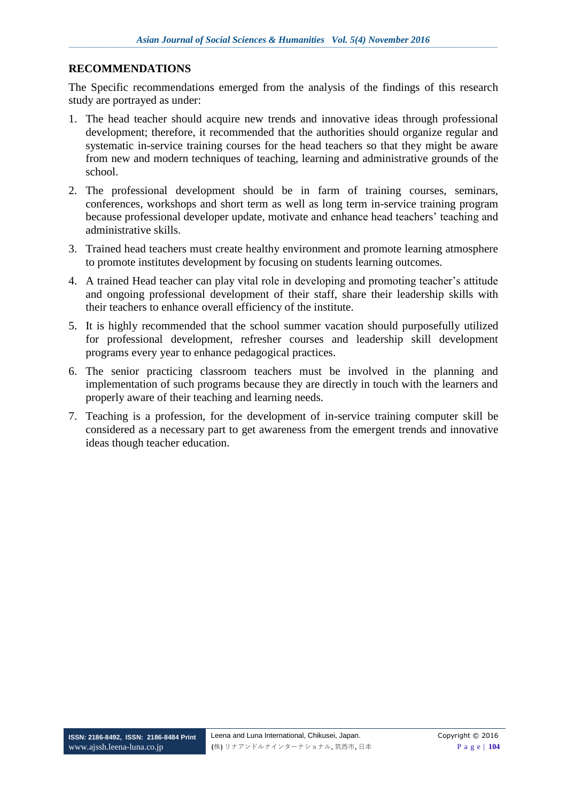### **RECOMMENDATIONS**

The Specific recommendations emerged from the analysis of the findings of this research study are portrayed as under:

- 1. The head teacher should acquire new trends and innovative ideas through professional development; therefore, it recommended that the authorities should organize regular and systematic in-service training courses for the head teachers so that they might be aware from new and modern techniques of teaching, learning and administrative grounds of the school.
- 2. The professional development should be in farm of training courses, seminars, conferences, workshops and short term as well as long term in-service training program because professional developer update, motivate and enhance head teachers' teaching and administrative skills.
- 3. Trained head teachers must create healthy environment and promote learning atmosphere to promote institutes development by focusing on students learning outcomes.
- 4. A trained Head teacher can play vital role in developing and promoting teacher's attitude and ongoing professional development of their staff, share their leadership skills with their teachers to enhance overall efficiency of the institute.
- 5. It is highly recommended that the school summer vacation should purposefully utilized for professional development, refresher courses and leadership skill development programs every year to enhance pedagogical practices.
- 6. The senior practicing classroom teachers must be involved in the planning and implementation of such programs because they are directly in touch with the learners and properly aware of their teaching and learning needs.
- 7. Teaching is a profession, for the development of in-service training computer skill be considered as a necessary part to get awareness from the emergent trends and innovative ideas though teacher education.